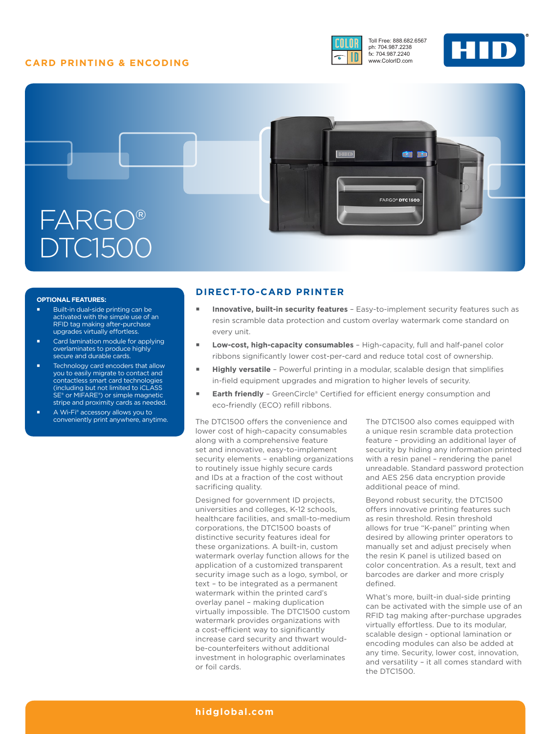# **CARD PRINTING & ENCODING**



Toll Free: 888.682.6567 ph: 704.987.2238 fx: 704.987.2240 www.ColorID.com





### **OPTIONAL FEATURES:**

- Built-in dual-side printing can be activated with the simple use of an RFID tag making after-purchase upgrades virtually effortless.
- Card lamination module for applying overlaminates to produce highly secure and durable cards.
- Technology card encoders that allow you to easily migrate to contact and contactless smart card technologies (including but not limited to iCLASS SE® or MIFARE®) or simple magnetic stripe and proximity cards as needed.
- A Wi-Fi® accessory allows you to conveniently print anywhere, anytime.

## **DIRECT-TO-CARD PRINTER**

- **Innovative, built-in security features**  Easy-to-implement security features such as resin scramble data protection and custom overlay watermark come standard on every unit.
- **Low-cost, high-capacity consumables**  High-capacity, full and half-panel color ribbons significantly lower cost-per-card and reduce total cost of ownership.
- **Highly versatile**  Powerful printing in a modular, scalable design that simplifies in-field equipment upgrades and migration to higher levels of security.
- **Earth friendly**  GreenCircle® Certified for efficient energy consumption and eco-friendly (ECO) refill ribbons.

The DTC1500 offers the convenience and lower cost of high-capacity consumables along with a comprehensive feature set and innovative, easy-to-implement security elements – enabling organizations to routinely issue highly secure cards and IDs at a fraction of the cost without sacrificing quality.

Designed for government ID projects, universities and colleges, K-12 schools, healthcare facilities, and small-to-medium corporations, the DTC1500 boasts of distinctive security features ideal for these organizations. A built-in, custom watermark overlay function allows for the application of a customized transparent security image such as a logo, symbol, or text – to be integrated as a permanent watermark within the printed card's overlay panel – making duplication virtually impossible. The DTC1500 custom watermark provides organizations with a cost-efficient way to significantly increase card security and thwart wouldbe-counterfeiters without additional investment in holographic overlaminates or foil cards.

The DTC1500 also comes equipped with a unique resin scramble data protection feature – providing an additional layer of security by hiding any information printed with a resin panel – rendering the panel unreadable. Standard password protection and AES 256 data encryption provide additional peace of mind.

Beyond robust security, the DTC1500 offers innovative printing features such as resin threshold. Resin threshold allows for true "K-panel" printing when desired by allowing printer operators to manually set and adjust precisely when the resin K panel is utilized based on color concentration. As a result, text and barcodes are darker and more crisply defined.

What's more, built-in dual-side printing can be activated with the simple use of an RFID tag making after-purchase upgrades virtually effortless. Due to its modular, scalable design - optional lamination or encoding modules can also be added at any time. Security, lower cost, innovation, and versatility – it all comes standard with the DTC1500.

### **[hidglobal.com](http://www.hidglobal.com)**